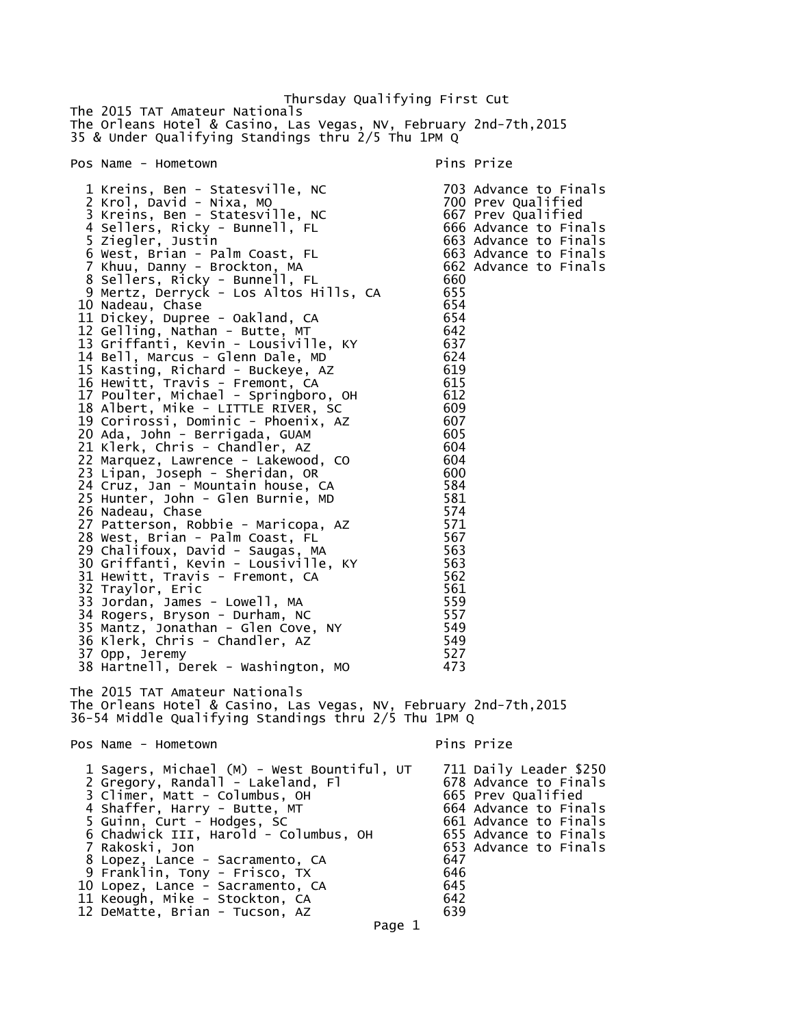Thursday Qualifying First Cut The 2015 TAT Amateur Nationals The Orleans Hotel & Casino, Las Vegas, NV, February 2nd-7th,2015 35 & Under Qualifying Standings thru 2/5 Thu 1PM Q Pos Name - Hometown entry the pins Prize pins Prize 1 Kreins, Ben - Statesville, NC 703 Advance to Finals 2 Krol, David - Nixa, MO 700 Prev Qualified 3 Kreins, Ben - Statesville, NC 667 Prev Qualified 4 Sellers, Ricky - Bunnell, FL 666 Advance to Finals 5 Ziegler, Justin 663 Advance to Finals 6 West, Brian - Palm Coast, FL 663 Advance to Finals 7 Khuu, Danny - Brockton, MA 662 Advance to Finals 8 Sellers, Ricky - Bunnell, FL 660 9 Mertz, Derryck - Los Altos Hills, CA 655 10 Nadeau, Chase 654 11 Dickey, Dupree - Oakland, CA 654 12 Gelling, Nathan - Butte, MT 642 13 Griffanti, Kevin - Lousiville, KY 637 14 Bell, Marcus - Glenn Dale, MD 624 15 Kasting, Richard - Buckeye, AZ 619 16 Hewitt, Travis - Fremont, CA 615 17 Poulter, Michael - Springboro, OH 612 18 Albert, Mike - LITTLE RIVER, SC 609 19 Corirossi, Dominic - Phoenix, AZ 607 20 Ada, John - Berrigada, GUAM 605 21 Klerk, Chris - Chandler, AZ 604 22 Marquez, Lawrence - Lakewood, CO 604 23 Lipan, Joseph - Sheridan, OR 600 24 Cruz, Jan - Mountain house, CA 584 25 Hunter, John - Glen Burnie, MD 581 26 Nadeau, Chase 574 27 Patterson, Robbie - Maricopa, AZ 571 28 West, Brian - Palm Coast, FL 567 29 Chalifoux, David - Saugas, MA 563 30 Griffanti, Kevin - Lousiville, KY 563<br>31 Hewitt, Travis - Fremont, CA 562 31 Hewitt, Travis - Fremont, CA 562 32 Traylor, Eric 561 33 Jordan, James - Lowell, MA 559 34 Rogers, Bryson - Durham, NC 557 35 Mantz, Jonathan - Glen Cove, NY 549 36 Klerk, Chris - Chandler, AZ 549 37 Opp, Jeremy 527 38 Hartnell, Derek - Washington, MO 473 The 2015 TAT Amateur Nationals The Orleans Hotel & Casino, Las Vegas, NV, February 2nd-7th,2015 36-54 Middle Qualifying Standings thru 2/5 Thu 1PM Q Pos Name - Hometown entitled a series of the Pins Prize 1 Sagers, Michael (M) - West Bountiful, UT 711 Daily Leader \$250 2 Gregory, Randall - Lakeland, Fl 678 Advance to Finals 3 Climer, Matt - Columbus, OH 665 Prev Qualified 4 Shaffer, Harry - Butte, MT 664 Advance to Finals 5 Guinn, Curt - Hodges, SC 661 Advance to Finals 6 Chadwick III, Harold - Columbus, OH 655 Advance to Finals 7 Rakoski, Jon 653 Advance to Finals 8 Lopez, Lance - Sacramento, CA 647 9 Franklin, Tony - Frisco, TX 646 10 Lopez, Lance - Sacramento, CA 645 11 Keough, Mike - Stockton, CA 642 12 DeMatte, Brian - Tucson, AZ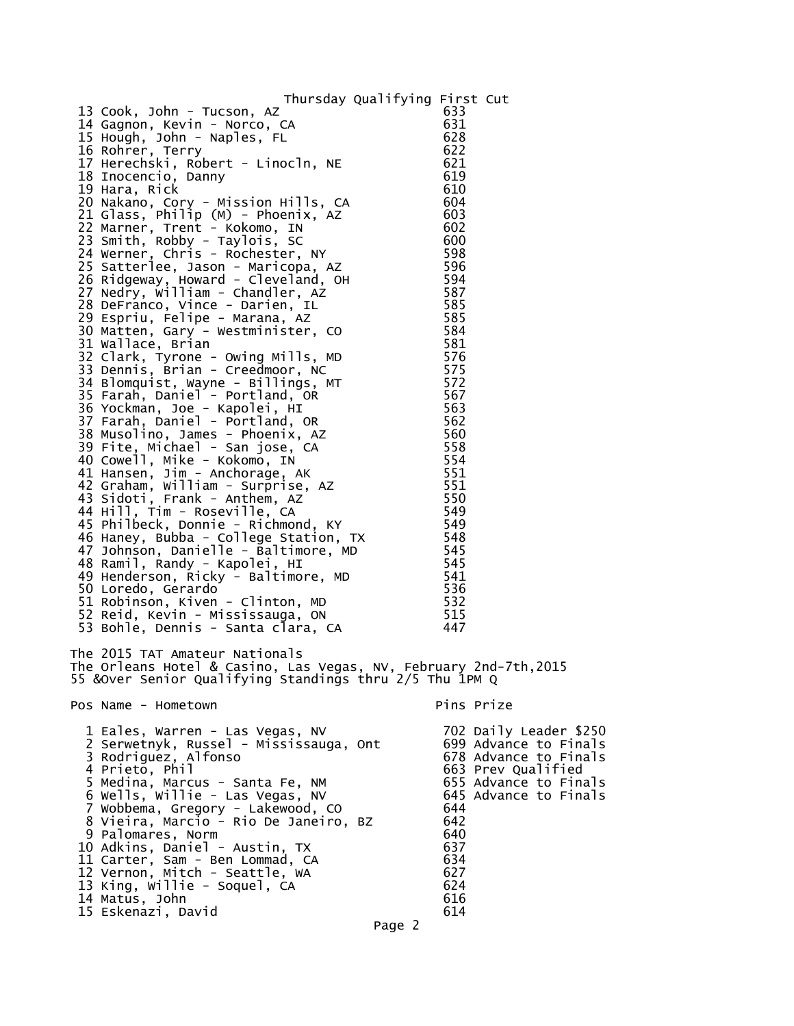## Thursday Qualifying First Cut

| 13 Cook, John - Tucson, AZ                                                                                                                                      | 633        |                        |
|-----------------------------------------------------------------------------------------------------------------------------------------------------------------|------------|------------------------|
| 14 Gagnon, Kevin - Norco, CA                                                                                                                                    | 631        |                        |
| 15 Hough, John - Naples, FL<br>16 Rohrer, Terry                                                                                                                 | 628<br>622 |                        |
| 17 Herechski, Robert - Linocln, NE                                                                                                                              | 621        |                        |
| 18 Inocencio, Danny                                                                                                                                             | 619        |                        |
| 19 Hara, Rick                                                                                                                                                   | 610        |                        |
| 20 Nakano, Cory - Mission Hills, CA                                                                                                                             | 604        |                        |
| 21 Glass, Philip (M) - Phoenix, AZ                                                                                                                              | 603        |                        |
| 22 Marner, Trent - Kokomo, IN                                                                                                                                   | 602        |                        |
| 23 Smith, Robby - Taylois, SC                                                                                                                                   | 600        |                        |
| 24 Werner, Chris - Rochester, NY                                                                                                                                | 598        |                        |
| 25 Satterlee, Jason - Maricopa, AZ                                                                                                                              | 596        |                        |
| 26 Ridgeway, Howard - Cleveland, OH<br>27 Nedry, William - Chandler, AZ                                                                                         | 594<br>587 |                        |
| 28 DeFranco, Vince - Darien, IL                                                                                                                                 | 585        |                        |
| 29 Espriu, Felipe - Marana, AZ                                                                                                                                  | 585        |                        |
| 30 Matten, Gary - Westminister, CO                                                                                                                              | 584        |                        |
| 31 Wallace, Brian                                                                                                                                               | 581        |                        |
| 32 Clark, Tyrone - Owing Mills, MD                                                                                                                              | 576        |                        |
| 33 Dennis, Brian - Creedmoor, NC                                                                                                                                | 575        |                        |
| 34 Blomquist, Wayne - Billings, MT                                                                                                                              | 572        |                        |
| 35 Farah, Daniel - Portland, OR                                                                                                                                 | 567        |                        |
| 36 Yockman, Joe - Kapolei, HI                                                                                                                                   | 563        |                        |
| 37 Farah, Daniel - Portland, OR                                                                                                                                 | 562        |                        |
| 38 Musolino, James - Phoenix, AZ<br>39 Fite, Michael - San jose, CA                                                                                             | 560<br>558 |                        |
| 40 Cowell, Mike - Kokomo, IN                                                                                                                                    | 554        |                        |
| 41 Hansen, Jim - Anchorage, AK                                                                                                                                  | 551        |                        |
| 42 Graham, William - Surprise, AZ                                                                                                                               | 551        |                        |
| 43 Sidoti, Frank - Anthem, AZ                                                                                                                                   | 550        |                        |
| 44 Hill, Tim - Roseville, CA                                                                                                                                    | 549        |                        |
| 45 Philbeck, Donnie - Richmond, KY                                                                                                                              | 549        |                        |
| 46 Haney, Bubba - College Station, TX<br>47 Johnson, Danielle - Baltimore, MD<br>48 Bamil Bandy Marshall                                                        | 548        |                        |
|                                                                                                                                                                 | 545        |                        |
| 48 Ramil, Randy - Kapolei, HI                                                                                                                                   | 545        |                        |
| 49 Henderson, Ricky - Baltimore, MD                                                                                                                             | 541        |                        |
| 50 Loredo, Gerardo<br>51 Robinson, Kiven - Clinton, MD                                                                                                          | 536<br>532 |                        |
| 52 Reid, Kevin - Mississauga, ON                                                                                                                                | 515        |                        |
| 53 Bohle, Dennis - Santa clara, CA                                                                                                                              | 447        |                        |
|                                                                                                                                                                 |            |                        |
| The 2015 TAT Amateur Nationals<br>The Orleans Hotel & Casino, Las Vegas, NV, February 2nd-7th, 2015<br>55 & Over Senior Qualifying Standings thru 2/5 Thu 1PM Q |            |                        |
| Pos Name - Hometown                                                                                                                                             | Pins Prize |                        |
| 1 Eales, Warren - Las Vegas, NV                                                                                                                                 |            | 702 Daily Leader \$250 |
| 2 Serwetnyk, Russel - Mississauga, Ont                                                                                                                          |            | 699 Advance to Finals  |
| 3 Rodriguez, Alfonso                                                                                                                                            |            | 678 Advance to Finals  |
| 4 Prieto, Phil                                                                                                                                                  |            | 663 Prev Qualified     |
| 5 Medina, Marcus - Santa Fe, NM                                                                                                                                 |            | 655 Advance to Finals  |
| 6 Wells, Willie - Las Vegas, NV                                                                                                                                 |            | 645 Advance to Finals  |
| 7 Wobbema, Gregory - Lakewood, CO                                                                                                                               | 644        |                        |
| 8 Vieira, Marcio - Rio De Janeiro, BZ                                                                                                                           | 642        |                        |
| 9 Palomares, Norm                                                                                                                                               | 640<br>637 |                        |
| 10 Adkins, Daniel - Austin, TX<br>11 Carter, Sam - Ben Lommad, CA                                                                                               | 634        |                        |
| 12 Vernon, Mitch - Seattle, WA                                                                                                                                  | 627        |                        |
| 13 King, Willie - Soquel, CA                                                                                                                                    | 624        |                        |
| 14 Matus, John                                                                                                                                                  | 616        |                        |
| 15 Eskenazi, David                                                                                                                                              | 614        |                        |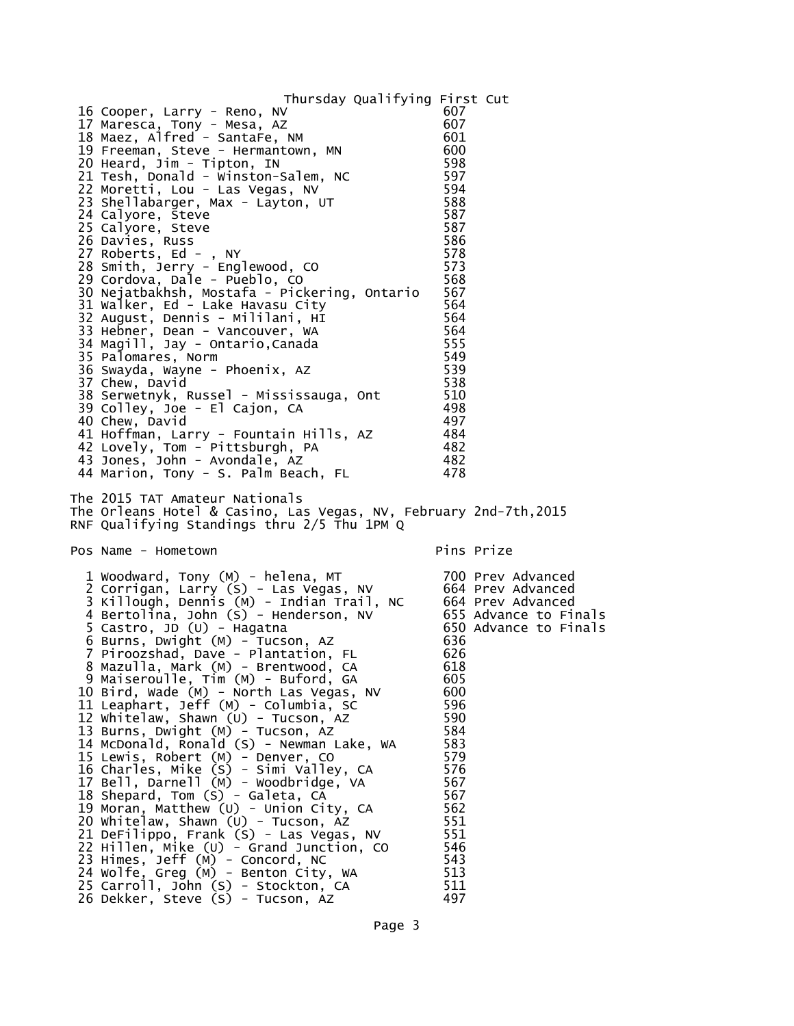| Thursday Qualifying First Cut<br>16 Cooper, Larry - Reno, NV<br>17 Maresca, Tony - Mesa, AZ<br>18 Maez, Alfred - SantaFe, NM<br>19 Freeman, Steve - Hermantown, MN<br>20 Heard, Jim - Tipton, IN<br>21 Tesh, Donald - winston-Salem, NC<br>22 Moretti, Lou - Las Vegas, NV<br>23 Shellabarger, Max - Layton, UT<br>24 Calyore, Steve<br>25 Calyore, Steve<br>26 Davies, Russ<br>27 Roberts, Ed - , NY<br>28 Smith, Jerry - Englewood, CO<br>29 Cordova, Dale - Pueblo, CO<br>30 Nejatbakhsh, Mostafa - Pickering, Ontario<br>31 Walker, Ed - Lake Havasu City<br>32 August, Dennis - Mililani, HI<br>33 Hebner, Dean - Vancouver, WA<br>34 Magill, Jay - Ontario, Canada<br>35 Palomares, Norm<br>36 Swayda, Wayne - Phoenix, AZ<br>37 Chew, David<br>38 Serwetnyk, Russel - Mississauga, Ont<br>39 Colley, Joe - El Cajon, CA<br>40 Chew, David<br>41 Hoffman, Larry - Fountain Hills, AZ<br>42 Lovely, Tom - Pittsburgh, PA<br>43 Jones, John - Avondale, AZ<br>44 Marion, Tony - S. Palm Beach, FL                                                           | 607<br>607<br>601<br>600<br>598<br>597<br>594<br>588<br>587<br>587<br>586<br>578<br>573<br>568<br>567<br>564<br>564<br>564<br>555<br>549<br>539<br>538<br>510<br>- 498<br>497<br>- 484<br>- 482<br>- 482<br>478                                                  |
|-----------------------------------------------------------------------------------------------------------------------------------------------------------------------------------------------------------------------------------------------------------------------------------------------------------------------------------------------------------------------------------------------------------------------------------------------------------------------------------------------------------------------------------------------------------------------------------------------------------------------------------------------------------------------------------------------------------------------------------------------------------------------------------------------------------------------------------------------------------------------------------------------------------------------------------------------------------------------------------------------------------------------------------------------------------------|------------------------------------------------------------------------------------------------------------------------------------------------------------------------------------------------------------------------------------------------------------------|
| The 2015 TAT Amateur Nationals<br>The Orleans Hotel & Casino, Las Vegas, NV, February 2nd-7th,2015<br>RNF Qualifying Standings thru 2/5 Thu 1PM Q                                                                                                                                                                                                                                                                                                                                                                                                                                                                                                                                                                                                                                                                                                                                                                                                                                                                                                               | Pins Prize                                                                                                                                                                                                                                                       |
| Pos Name - Hometown                                                                                                                                                                                                                                                                                                                                                                                                                                                                                                                                                                                                                                                                                                                                                                                                                                                                                                                                                                                                                                             |                                                                                                                                                                                                                                                                  |
| 1 Woodward, Tony (M) - helena, MT<br>2 Corrigan, Larry (S) - Las Vegas, NV<br>3 Killough, Dennis (M) - Indian Trail, NC<br>4 Bertolina, John (S) - Henderson, NV<br>5 Castro, JD (U) - Hagatna<br>6 Burns, Dwight (M) - Tucson, AZ<br>7 Piroozshad, Dave - Plantation, FL<br>8 Mazulla, Mark (M) - Brentwood, CA<br>9 Maiseroulle, Tim (M) - Buford, GA<br>10 Bird, Wade (M) - North Las Vegas, NV<br>11 Leaphart, Jeff (M) - Columbia, SC<br>12 Whitelaw, Shawn (U) - Tucson, AZ<br>13 Burns, Dwight (M) - Tucson, AZ<br>14 McDonald, Ronald (S) - Newman Lake, WA<br>15 Lewis, Robert (M) - Denver, CO<br>16 Charles, Mike (S) - Simi Valley, CA<br>17 Bell, Darnell (M) - Woodbridge, VA<br>18 Shepard, Tom (S) - Galeta, CA<br>19 Moran, Matthew (U) - Union City, CA<br>20 Whitelaw, Shawn (U) - Tucson, AZ<br>21 DeFilippo, Frank (S) - Las Vegas, NV<br>22 Hillen, Mike (U) - Grand Junction, CO<br>23 Himes, Jeff (M) - Concord, NC<br>24 Wolfe, Greg (M) - Benton City, WA<br>25 Carroll, John (S) - Stockton, CA<br>26 Dekker, Steve (S) - Tucson, AZ | 700 Prev Advanced<br>664 Prev Advanced<br>664 Prev Advanced<br>655 Advance to Finals<br>650 Advance to Finals<br>636<br>626<br>618<br>605<br>600<br>596<br>590<br>584<br>583<br>579<br>576<br>567<br>567<br>562<br>551<br>551<br>546<br>543<br>513<br>511<br>497 |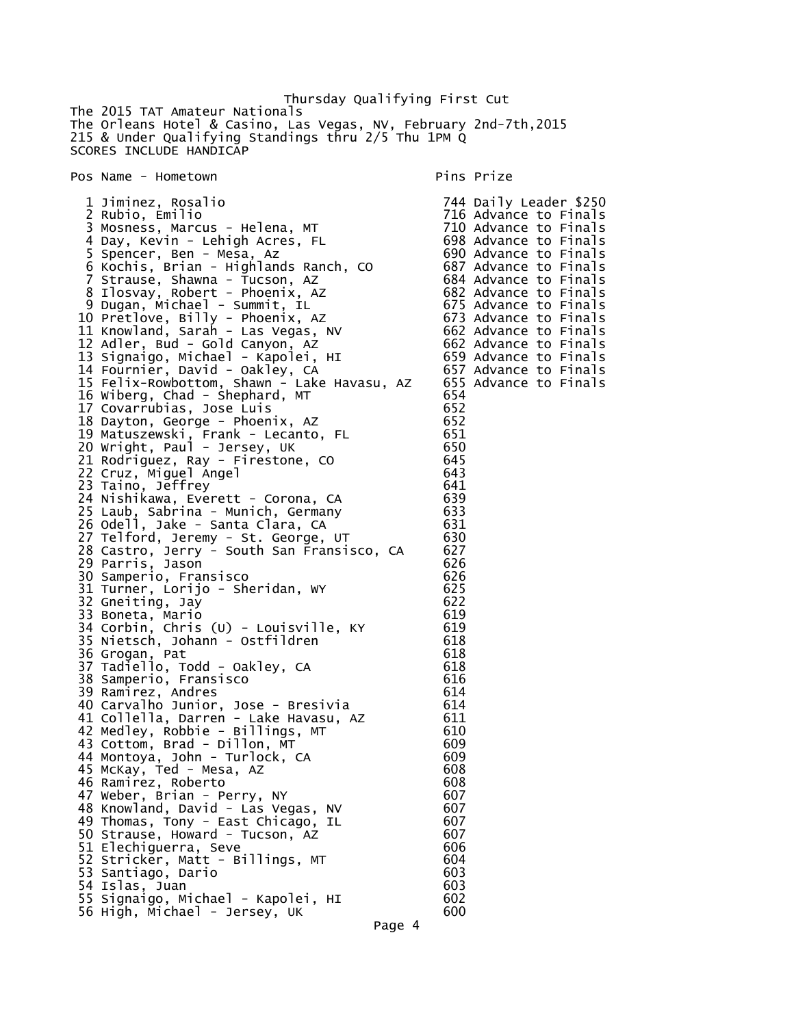Thursday Qualifying First Cut The 2015 TAT Amateur Nationals The Orleans Hotel & Casino, Las Vegas, NV, February 2nd-7th,2015 215 & Under Qualifying Standings thru 2/5 Thu 1PM Q SCORES INCLUDE HANDICAP

Pos Name - Hometown entitled and the pins Prize

 1 Jiminez, Rosalio 744 Daily Leader \$250 716 Advance to Finals<br>710 Advance to Finals 3 Mosness, Marcus - Helena, MT 710 Advance to Finals 4 Day, Kevin - Lehigh Acres, FL 698 Advance to Finals 5 Spencer, Ben - Mesa, Az 690 Advance to Finals 6 Kochis, Brian - Highlands Ranch, CO 687 Advance to Finals 7 Strause, Shawna - Tucson, AZ 684 Advance to Finals 8 Ilosvay, Robert - Phoenix, AZ 682 Advance to Finals 9 Dugan, Michael - Summit, IL 675 Advance to Finals 10 Pretlove, Billy - Phoenix, AZ 673 Advance to Finals 11 Knowland, Sarah - Las Vegas, NV 662 Advance to Finals 12 Adler, Bud - Gold Canyon, AZ 662 Advance to Finals 13 Signaigo, Michael - Kapolei, HI 659 Advance to Finals 14 Fournier, David - Oakley, CA 657 Advance to Finals 15 Felix-Rowbottom, Shawn - Lake Havasu, AZ 655 Advance to Finals 16 Wiberg, Chad - Shephard, MT 654 17 Covarrubias, Jose Luis 652 18 Dayton, George - Phoenix, AZ 652 19 Matuszewski, Frank - Lecanto, FL 651 20 Wright, Paul - Jersey, UK 650 21 Rodriguez, Ray - Firestone, CO 645 22 Cruz, Miguel Angel 643 (1994) 643<br>23 Taino, Jeffrey 641 23 Taino, Jeffrey 641 24 Nishikawa, Everett - Corona, CA 639 25 Laub, Sabrina - Munich, Germany 633 26 Odell, Jake - Santa Clara, CA 631 27 Telford, Jeremy - St. George, UT 630 28 Castro, Jerry - South San Fransisco, CA 627 29 Parris, Jason 626 30 Samperio, Fransisco 626 31 Turner, Lorijo - Sheridan, WY 625 32 Gneiting, Jay 622<br>33 Boneta, Mario 619 33 Boneta, Mario 619 34 Corbin, Chris (U) - Louisville, KY 619 35 Nietsch, Johann - Ostfildren 618 36 Grogan, Pat 618 37 Tadiello, Todd - Oakley, CA 618 38 Samperio, Fransisco 616 39 Ramirez, Andres 614 40 Carvalho Junior, Jose - Bresivia 614 41 Collella, Darren - Lake Havasu, AZ 611 42 Medley, Robbie - Billings, MT 610 43 Cottom, Brad - Dillon, MT 609 44 Montoya, John - Turlock, CA 609 45 McKay, Ted - Mesa, AZ 608 46 Ramirez, Roberto 47 Weber, Brian - Perry, NY 607 48 Knowland, David - Las Vegas, NV 607 49 Thomas, Tony - East Chicago, IL 607 50 Strause, Howard - Tucson, AZ 607 51 Elechiguerra, Seve 606 52 Stricker, Matt - Billings, MT 604 53 Santiago, Dario 603 54 Islas, Juan 603 55 Signaigo, Michael - Kapolei, HI 602 56 High, Michael - Jersey, UK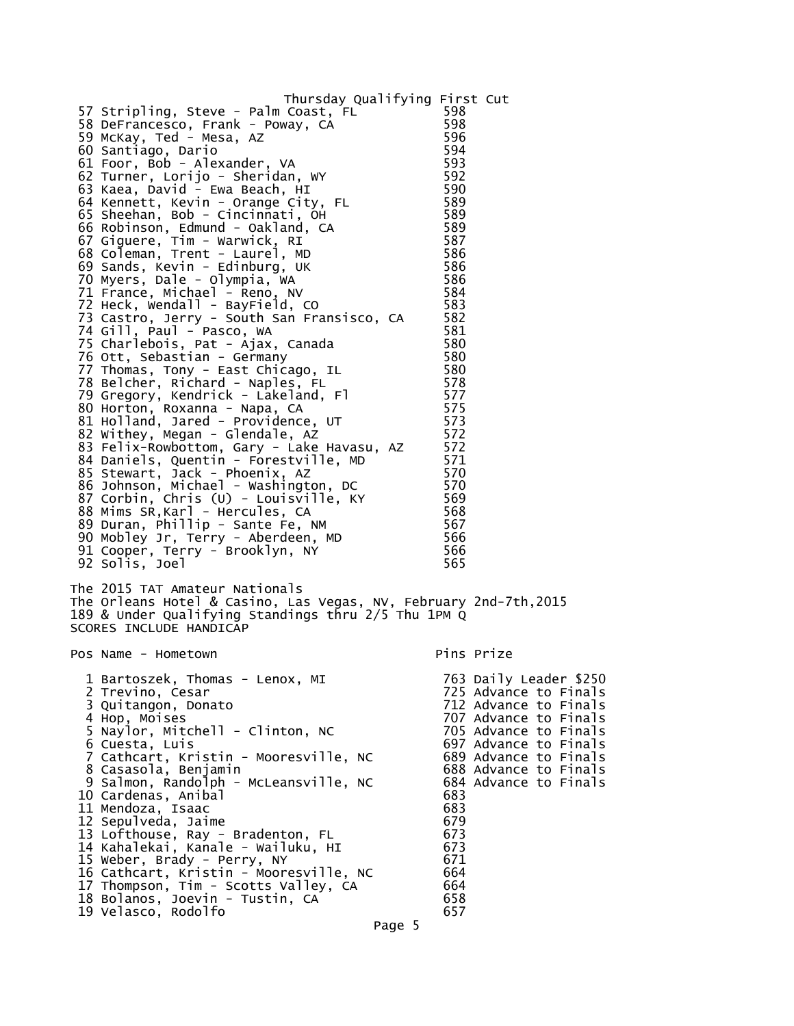| Thursday Qualifying First Cut<br>57 Stripling, Steve - Palm Coast, FL<br>58 DeFrancesco, Frank - Poway, CA<br>59 McKay, Ted - Mesa, AZ<br>60 Santiago, Dario<br>61 Foor, Bob - Alexander, VA<br>62 Turner, Lorijo - Sheridan, WY<br>63 Kaea, David - Ewa Beach, HI<br>64 Kennett, Kevin - Orange City, FL<br>65 Sheehan, Bob - Cincinnati, OH<br>66 Robinson, Edmund - Oakland, CA<br>67 Giguere, Tim - Warwick, RI<br>68 Coleman, Trent - Laurel, MD<br>69 Sands, Kevin - Edinburg, UK<br>70 Myers, Dale - Olympia, WA<br>71 France, Michael - Reno, NV<br>72 Heck, Wendall - BayField, CO<br>73 Castro, Jerry - South San Fransisco, CA<br>74 Gill, Paul - Pasco, WA<br>75 Charlebois, Pat - Ajax, Canada<br>76 Ott, Sebastian - Germany<br>77 Thomas, Tony - East Chicago, IL<br>78 Belcher, Richard - Naples, FL<br>79 Gregory, Kendrick - Lakeland, Fl<br>80 Horton, Roxanna - Napa, CA<br>81 Holland, Jared - Providence, UT<br>82 Withey, Megan - Glendale, AZ<br>83 Felix-Rowbottom, Gary - Lake Havasu, AZ<br>84 Daniels, Quentin - Forestville, MD<br>85 Stewart, Jack - Phoenix, AZ<br>86 Johnson, Michael - Washington, DC<br>87 Corbin, Chris (U) - Louisville, KY<br>88 Mims SR, Karl - Hercules, CA<br>89 Duran, Phillip - Sante Fe, NM<br>90 Mobley Jr, Terry - Aberdeen, MD<br>91 Cooper, Terry - Brooklyn, NY<br>92 Solis, Joel | 598<br>598<br>596<br>594<br>593<br>592<br>590<br>589<br>589<br>589<br>587<br>586<br>586<br>586<br>584<br>583<br>582<br>581<br>580<br>580<br>580<br>578<br>577<br>575<br>573<br>572<br>572<br>571<br>570<br>570<br>569<br>568<br>567<br>566<br>566<br>565 |                                                                                                                                                                                                                                |
|---------------------------------------------------------------------------------------------------------------------------------------------------------------------------------------------------------------------------------------------------------------------------------------------------------------------------------------------------------------------------------------------------------------------------------------------------------------------------------------------------------------------------------------------------------------------------------------------------------------------------------------------------------------------------------------------------------------------------------------------------------------------------------------------------------------------------------------------------------------------------------------------------------------------------------------------------------------------------------------------------------------------------------------------------------------------------------------------------------------------------------------------------------------------------------------------------------------------------------------------------------------------------------------------------------------------------------------------------|----------------------------------------------------------------------------------------------------------------------------------------------------------------------------------------------------------------------------------------------------------|--------------------------------------------------------------------------------------------------------------------------------------------------------------------------------------------------------------------------------|
| The 2015 TAT Amateur Nationals<br>The Orleans Hotel & Casino, Las Vegas, NV, February 2nd-7th,2015<br>189 & Under Qualifying Standings thru 2/5 Thu 1PM Q<br>SCORES INCLUDE HANDICAP                                                                                                                                                                                                                                                                                                                                                                                                                                                                                                                                                                                                                                                                                                                                                                                                                                                                                                                                                                                                                                                                                                                                                              |                                                                                                                                                                                                                                                          |                                                                                                                                                                                                                                |
| Pos Name - Hometown                                                                                                                                                                                                                                                                                                                                                                                                                                                                                                                                                                                                                                                                                                                                                                                                                                                                                                                                                                                                                                                                                                                                                                                                                                                                                                                               |                                                                                                                                                                                                                                                          | Pins Prize                                                                                                                                                                                                                     |
| 1 Bartoszek, Thomas - Lenox, MI<br>2 Trevino, Cesar<br>3 Quitangon, Donato<br>4 Hop, Moises<br>5 Naylor, Mitchell - Clinton, NC<br>6 Cuesta, Luis<br>7 Cathcart, Kristin - Mooresville, NC<br>8 Casasola, Benjamin<br>9 Salmon, Randolph - McLeansville, NC<br>10 Cardenas, Anibal<br>11 Mendoza, Isaac<br>12 Sepulveda, Jaime<br>13 Lofthouse, Ray - Bradenton, FL<br>14 Kahalekai, Kanale - Wailuku, HI<br>15 Weber, Brady - Perry, NY<br>16 Cathcart, Kristin - Mooresville, NC<br>17 Thompson, Tim - Scotts Valley, CA<br>18 Bolanos, Joevin - Tustin, CA<br>19 Velasco, Rodolfo                                                                                                                                                                                                                                                                                                                                                                                                                                                                                                                                                                                                                                                                                                                                                              | 683<br>683<br>679<br>673<br>673<br>671<br>664<br>664<br>658<br>657                                                                                                                                                                                       | 763 Daily Leader \$250<br>725 Advance to Finals<br>712 Advance to Finals<br>707 Advance to Finals<br>705 Advance to Finals<br>697 Advance to Finals<br>689 Advance to Finals<br>688 Advance to Finals<br>684 Advance to Finals |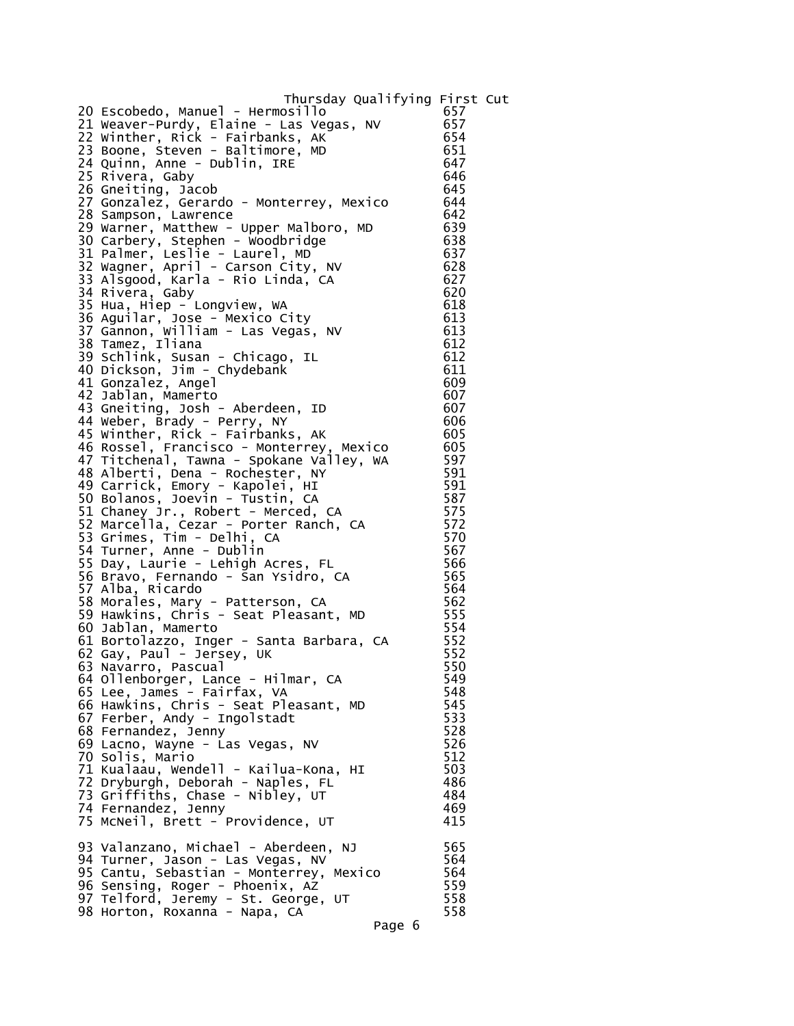Thursday Qualifying First Cut 20 Escobedo, Manuel - Hermosillo 21 Weaver-Purdy, Elaine - Las Vegas, NV 657  $22$  Winther, Rick - Fairbanks, AK 23 Boone, Steven - Baltimore, MD 651 24 Quinn, Anne - Dublin, IRE 647 25 Rivera, Gaby 1988 (1988) 646<br>26 Gheiting Jacob 1988 (1988) 645 26 Gneiting, Jacob 645 27 Gonzalez, Gerardo - Monterrey, Mexico 644 28 Sampson, Lawrence 642 29 Warner, Matthew - Upper Malboro, MD 639 30 Carbery, Stephen - Woodbridge 638 31 Palmer, Leslie - Laurel, MD 637 32 Wagner, April - Carson City, NV 628 33 Alsgood, Karla - Rio Linda, CA 627 34 Rivera, Gaby 620 and 1990 and 1991 and 1991 and 1991 and 1991 and 1991 and 1991 and 1991 and 199 35 Hua, Hiep - Longview, WA 618 36 Aguilar, Jose - Mexico City 613 37 Gannon, William - Las Vegas, NV 613 38 Tamez, Iliana 612 39 Schlink, Susan - Chicago, IL 612 40 Dickson, Jim - Chydebank 611 41 Gonzalez, Angel 609 42 Jablan, Mamerto 607 43 Gneiting, Josh - Aberdeen, ID 607 44 Weber, Brady - Perry, NY 606 45 Winther, Rick - Fairbanks, AK 605 46 Rossel, Francisco - Monterrey, Mexico 605 47 Titchenal, Tawna - Spokane Valley, WA 597 48 Alberti, Dena - Rochester, NY 591 49 Carrick, Emory - Kapolei, HI 591 50 Bolanos, Joevin - Tustin, CA 587 51 Chaney Jr., Robert - Merced, CA 575 52 Marcella, Cezar - Porter Ranch, CA 572 53 Grimes, Tim - Delhi, CA 570 54 Turner, Anne - Dublin 567 55 Day, Laurie - Lehigh Acres, FL 566 56 Bravo, Fernando - San Ysidro, CA 565 57 Alba, Ricardo 564 58 Morales, Mary - Patterson, CA 562 59 Hawkins, Chris - Seat Pleasant, MD 555 60 Jablan, Mamerto 554 61 Bortolazzo, Inger - Santa Barbara, CA 552 62 Gay, Paul - Jersey, UK 552 63 Navarro, Pascual 550 64 Ollenborger, Lance - Hilmar, CA 549 65 Lee, James - Fairfax, VA 548 66 Hawkins, Chris - Seat Pleasant, MD 545 67 Ferber, Andy - Ingolstadt 68 Fernandez, Jenny 528 69 Lacno, Wayne - Las Vegas, NV 526 70 Solis, Mario 512 71 Kualaau, Wendell - Kailua-Kona, HI 503 72 Dryburgh, Deborah - Naples, FL 486 73 Griffiths, Chase - Nibley, UT 484 74 Fernandez, Jenny 469 75 McNeil, Brett - Providence, UT 93 Valanzano, Michael - Aberdeen, NJ 565 94 Turner, Jason - Las Vegas, NV 564 95 Cantu, Sebastian - Monterrey, Mexico 564 96 Sensing, Roger - Phoenix, AZ 559 97 Telford, Jeremy - St. George, UT 558 98 Horton, Roxanna - Napa, CA Page 6